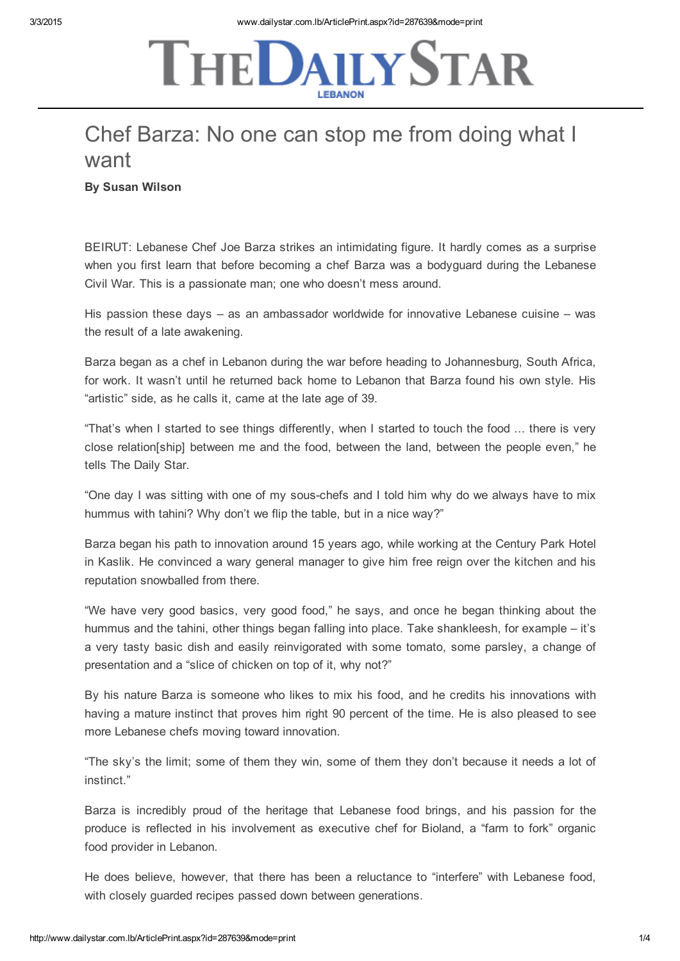## **THE DAILY STAR**

## Chef Barza: No one can stop me from doing what I want

By Susan Wilson

BEIRUT: Lebanese Chef Joe Barza strikes an intimidating figure. It hardly comes as a surprise when you first learn that before becoming a chef Barza was a bodyguard during the Lebanese Civil War. This is a passionate man; one who doesn't mess around.

His passion these days – as an ambassador worldwide for innovative Lebanese cuisine – was the result of a late awakening.

Barza began as a chef in Lebanon during the war before heading to Johannesburg, South Africa, for work. It wasn't until he returned back home to Lebanon that Barza found his own style. His "artistic" side, as he calls it, came at the late age of 39.

"That's when I started to see things differently, when I started to touch the food ... there is very close relation[ship] between me and the food, between the land, between the people even," he tells The Daily Star.

"One day I was sitting with one of my sous-chefs and I told him why do we always have to mix hummus with tahini? Why don't we flip the table, but in a nice way?"

Barza began his path to innovation around 15 years ago, while working at the Century Park Hotel in Kaslik. He convinced a wary general manager to give him free reign over the kitchen and his reputation snowballed from there.

"We have very good basics, very good food," he says, and once he began thinking about the hummus and the tahini, other things began falling into place. Take shankleesh, for example – it's a very tasty basic dish and easily reinvigorated with some tomato, some parsley, a change of presentation and a "slice of chicken on top of it, why not?"

By his nature Barza is someone who likes to mix his food, and he credits his innovations with having a mature instinct that proves him right 90 percent of the time. He is also pleased to see more Lebanese chefs moving toward innovation.

"The sky's the limit; some of them they win, some of them they don't because it needs a lot of instinct."

Barza is incredibly proud of the heritage that Lebanese food brings, and his passion for the produce is reflected in his involvement as executive chef for Bioland, a "farm to fork" organic food provider in Lebanon.

He does believe, however, that there has been a reluctance to "interfere" with Lebanese food, with closely guarded recipes passed down between generations.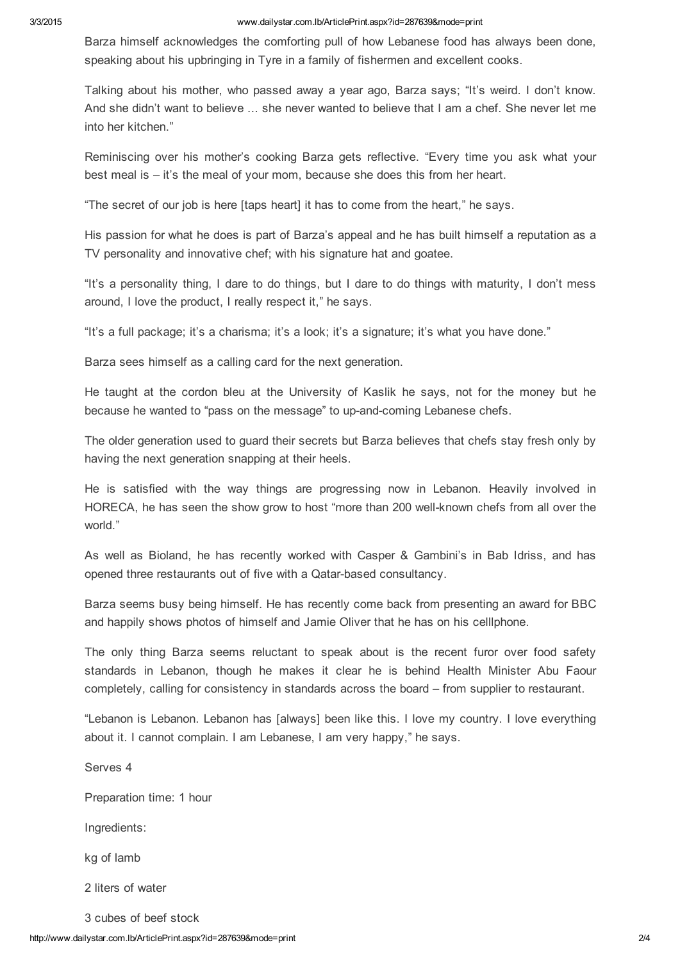Barza himself acknowledges the comforting pull of how Lebanese food has always been done, speaking about his upbringing in Tyre in a family of fishermen and excellent cooks.

Talking about his mother, who passed away a year ago, Barza says; "It's weird. I don't know. And she didn't want to believe ... she never wanted to believe that I am a chef. She never let me into her kitchen."

Reminiscing over his mother's cooking Barza gets reflective. "Every time you ask what your best meal is – it's the meal of your mom, because she does this from her heart.

"The secret of our job is here [taps heart] it has to come from the heart," he says.

His passion for what he does is part of Barza's appeal and he has built himself a reputation as a TV personality and innovative chef; with his signature hat and goatee.

"It's a personality thing, I dare to do things, but I dare to do things with maturity, I don't mess around, I love the product, I really respect it," he says.

"It's a full package; it's a charisma; it's a look; it's a signature; it's what you have done."

Barza sees himself as a calling card for the next generation.

He taught at the cordon bleu at the University of Kaslik he says, not for the money but he because he wanted to "pass on the message" to up-and-coming Lebanese chefs.

The older generation used to guard their secrets but Barza believes that chefs stay fresh only by having the next generation snapping at their heels.

He is satisfied with the way things are progressing now in Lebanon. Heavily involved in HORECA, he has seen the show grow to host "more than 200 well-known chefs from all over the world."

As well as Bioland, he has recently worked with Casper & Gambini's in Bab Idriss, and has opened three restaurants out of five with a Qatar-based consultancy.

Barza seems busy being himself. He has recently come back from presenting an award for BBC and happily shows photos of himself and Jamie Oliver that he has on his celllphone.

The only thing Barza seems reluctant to speak about is the recent furor over food safety standards in Lebanon, though he makes it clear he is behind Health Minister Abu Faour completely, calling for consistency in standards across the board – from supplier to restaurant.

"Lebanon is Lebanon. Lebanon has [always] been like this. I love my country. I love everything about it. I cannot complain. I am Lebanese, I am very happy," he says.

Serves 4 Preparation time: 1 hour Ingredients: kg of lamb 2 liters of water 3 cubes of beef stock